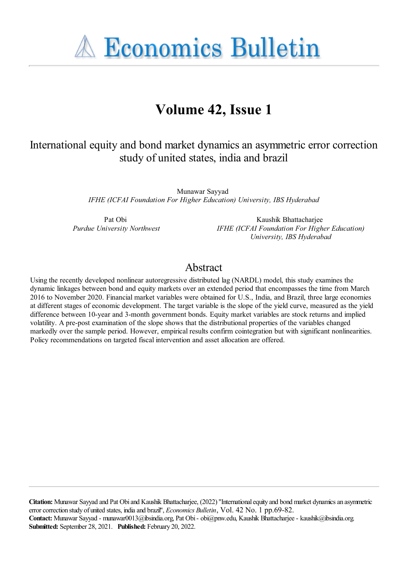**A Economics Bulletin** 

# **Volume 42, Issue 1**

# International equity and bond market dynamics an asymmetric error correction study of united states, india and brazil

Munawar Sayyad *IFHE (ICFAI Foundation For Higher Education) University, IBS Hyderabad*

Pat Obi *Purdue University Northwest*

Kaushik Bhattacharjee *IFHE (ICFAI Foundation For Higher Education) University, IBS Hyderabad*

## Abstract

Using the recently developed nonlinear autoregressive distributed lag (NARDL) model, this study examines the dynamic linkages between bond and equity markets over an extended period that encompasses the time from March 2016 to November 2020. Financial market variables were obtained for U.S., India, and Brazil, three large economies at different stages of economic development. The target variable is the slope of the yield curve, measured as the yield difference between 10-year and 3-month government bonds. Equity market variables are stock returns and implied volatility. A pre-post examination of the slope shows that the distributional properties of the variables changed markedly over the sample period. However, empirical results confirm cointegration but with significant nonlinearities. Policy recommendations on targeted fiscal intervention and asset allocation are offered.

**Citation:** Munawar Sayyad and Pat Obiand Kaushik Bhattacharjee, (2022) ''Internationalequity and bond market dynamicsan asymmetric errorcorrection study of united states, indiaand brazil'', *Economics Bulletin*, Vol. 42 No. 1 pp.69-82. **Contact:** Munawar Sayyad - munawar0013@ibsindia.org, Pat Obi- obi@pnw.edu, Kaushik Bhattacharjee- kaushik@ibsindia.org. **Submitted:** September 28, 2021. **Published:** February 20, 2022.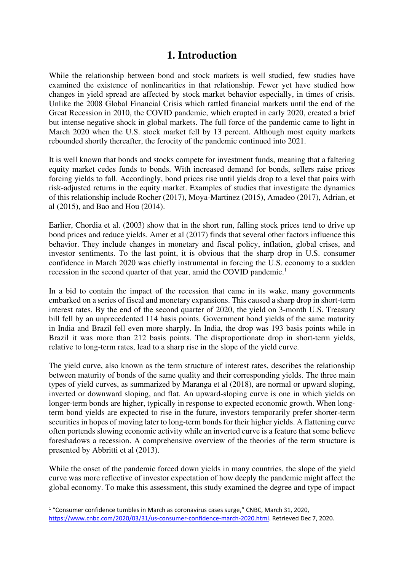## **1. Introduction**

While the relationship between bond and stock markets is well studied, few studies have examined the existence of nonlinearities in that relationship. Fewer yet have studied how changes in yield spread are affected by stock market behavior especially, in times of crisis. Unlike the 2008 Global Financial Crisis which rattled financial markets until the end of the Great Recession in 2010, the COVID pandemic, which erupted in early 2020, created a brief but intense negative shock in global markets. The full force of the pandemic came to light in March 2020 when the U.S. stock market fell by 13 percent. Although most equity markets rebounded shortly thereafter, the ferocity of the pandemic continued into 2021.

It is well known that bonds and stocks compete for investment funds, meaning that a faltering equity market cedes funds to bonds. With increased demand for bonds, sellers raise prices forcing yields to fall. Accordingly, bond prices rise until yields drop to a level that pairs with risk-adjusted returns in the equity market. Examples of studies that investigate the dynamics of this relationship include Rocher (2017), Moya-Martinez (2015), Amadeo (2017), Adrian, et al (2015), and Bao and Hou (2014).

Earlier, Chordia et al. (2003) show that in the short run, falling stock prices tend to drive up bond prices and reduce yields. Amer et al (2017) finds that several other factors influence this behavior. They include changes in monetary and fiscal policy, inflation, global crises, and investor sentiments. To the last point, it is obvious that the sharp drop in U.S. consumer confidence in March 2020 was chiefly instrumental in forcing the U.S. economy to a sudden recession in the second quarter of that year, amid the COVID pandemic.<sup>1</sup>

In a bid to contain the impact of the recession that came in its wake, many governments embarked on a series of fiscal and monetary expansions. This caused a sharp drop in short-term interest rates. By the end of the second quarter of 2020, the yield on 3-month U.S. Treasury bill fell by an unprecedented 114 basis points. Government bond yields of the same maturity in India and Brazil fell even more sharply. In India, the drop was 193 basis points while in Brazil it was more than 212 basis points. The disproportionate drop in short-term yields, relative to long-term rates, lead to a sharp rise in the slope of the yield curve.

The yield curve, also known as the term structure of interest rates, describes the relationship between maturity of bonds of the same quality and their corresponding yields. The three main types of yield curves, as summarized by Maranga et al (2018), are normal or upward sloping, inverted or downward sloping, and flat. An upward-sloping curve is one in which yields on longer-term bonds are higher, typically in response to expected economic growth. When longterm bond yields are expected to rise in the future, investors temporarily prefer shorter-term securities in hopes of moving later to long-term bonds for their higher yields. A flattening curve often portends slowing economic activity while an inverted curve is a feature that some believe foreshadows a recession. A comprehensive overview of the theories of the term structure is presented by Abbritti et al (2013).

While the onset of the pandemic forced down yields in many countries, the slope of the yield curve was more reflective of investor expectation of how deeply the pandemic might affect the global economy. To make this assessment, this study examined the degree and type of impact

 $1$  "Consumer confidence tumbles in March as coronavirus cases surge," CNBC, March 31, 2020, [https://www.cnbc.com/2020/03/31/us-consumer-confidence-march-2020.html.](https://www.cnbc.com/2020/03/31/us-consumer-confidence-march-2020.html) Retrieved Dec 7, 2020.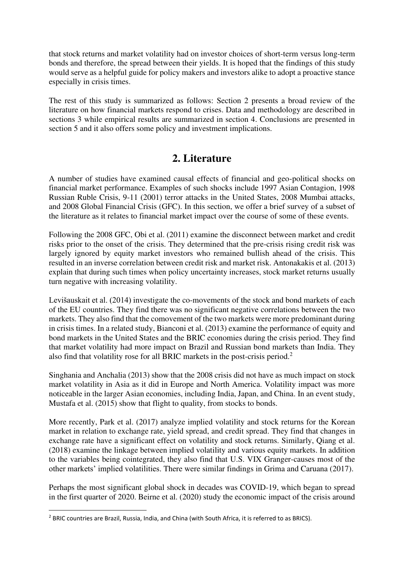that stock returns and market volatility had on investor choices of short-term versus long-term bonds and therefore, the spread between their yields. It is hoped that the findings of this study would serve as a helpful guide for policy makers and investors alike to adopt a proactive stance especially in crisis times.

The rest of this study is summarized as follows: Section 2 presents a broad review of the literature on how financial markets respond to crises. Data and methodology are described in sections 3 while empirical results are summarized in section 4. Conclusions are presented in section 5 and it also offers some policy and investment implications.

# **2. Literature**

A number of studies have examined causal effects of financial and geo-political shocks on financial market performance. Examples of such shocks include 1997 Asian Contagion, 1998 Russian Ruble Crisis, 9-11 (2001) terror attacks in the United States, 2008 Mumbai attacks, and 2008 Global Financial Crisis (GFC). In this section, we offer a brief survey of a subset of the literature as it relates to financial market impact over the course of some of these events.

Following the 2008 GFC, Obi et al. (2011) examine the disconnect between market and credit risks prior to the onset of the crisis. They determined that the pre-crisis rising credit risk was largely ignored by equity market investors who remained bullish ahead of the crisis. This resulted in an inverse correlation between credit risk and market risk. Antonakakis et al. (2013) explain that during such times when policy uncertainty increases, stock market returns usually turn negative with increasing volatility.

Levišauskait et al. (2014) investigate the co-movements of the stock and bond markets of each of the EU countries. They find there was no significant negative correlations between the two markets. They also find that the comovement of the two markets were more predominant during in crisis times. In a related study, Bianconi et al. (2013) examine the performance of equity and bond markets in the United States and the BRIC economies during the crisis period. They find that market volatility had more impact on Brazil and Russian bond markets than India. They also find that volatility rose for all BRIC markets in the post-crisis period.<sup>2</sup>

Singhania and Anchalia (2013) show that the 2008 crisis did not have as much impact on stock market volatility in Asia as it did in Europe and North America. Volatility impact was more noticeable in the larger Asian economies, including India, Japan, and China. In an event study, Mustafa et al. (2015) show that flight to quality, from stocks to bonds.

More recently, Park et al. (2017) analyze implied volatility and stock returns for the Korean market in relation to exchange rate, yield spread, and credit spread. They find that changes in exchange rate have a significant effect on volatility and stock returns. Similarly, Qiang et al. (2018) examine the linkage between implied volatility and various equity markets. In addition to the variables being cointegrated, they also find that U.S. VIX Granger-causes most of the other markets' implied volatilities. There were similar findings in Grima and Caruana (2017).

Perhaps the most significant global shock in decades was COVID-19, which began to spread in the first quarter of 2020. Beirne et al. (2020) study the economic impact of the crisis around

<sup>&</sup>lt;sup>2</sup> BRIC countries are Brazil, Russia, India, and China (with South Africa, it is referred to as BRICS).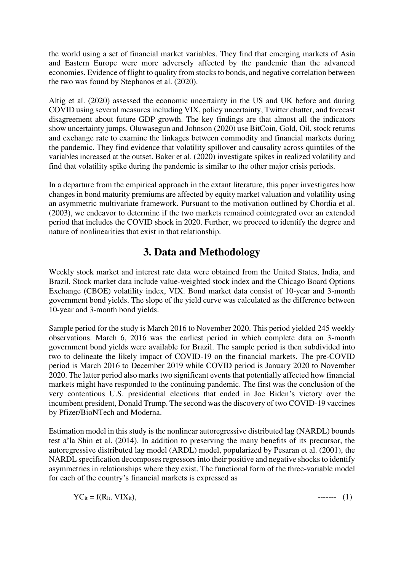the world using a set of financial market variables. They find that emerging markets of Asia and Eastern Europe were more adversely affected by the pandemic than the advanced economies. Evidence of flight to quality from stocks to bonds, and negative correlation between the two was found by Stephanos et al. (2020).

Altig et al. (2020) assessed the economic uncertainty in the US and UK before and during COVID using several measures including VIX, policy uncertainty, Twitter chatter, and forecast disagreement about future GDP growth. The key findings are that almost all the indicators show uncertainty jumps. Oluwasegun and Johnson (2020) use BitCoin, Gold, Oil, stock returns and exchange rate to examine the linkages between commodity and financial markets during the pandemic. They find evidence that volatility spillover and causality across quintiles of the variables increased at the outset. Baker et al. (2020) investigate spikes in realized volatility and find that volatility spike during the pandemic is similar to the other major crisis periods.

In a departure from the empirical approach in the extant literature, this paper investigates how changes in bond maturity premiums are affected by equity market valuation and volatility using an asymmetric multivariate framework. Pursuant to the motivation outlined by Chordia et al. (2003), we endeavor to determine if the two markets remained cointegrated over an extended period that includes the COVID shock in 2020. Further, we proceed to identify the degree and nature of nonlinearities that exist in that relationship.

# **3. Data and Methodology**

Weekly stock market and interest rate data were obtained from the United States, India, and Brazil. Stock market data include value-weighted stock index and the Chicago Board Options Exchange (CBOE) volatility index, VIX. Bond market data consist of 10-year and 3-month government bond yields. The slope of the yield curve was calculated as the difference between 10-year and 3-month bond yields.

Sample period for the study is March 2016 to November 2020. This period yielded 245 weekly observations. March 6, 2016 was the earliest period in which complete data on 3-month government bond yields were available for Brazil. The sample period is then subdivided into two to delineate the likely impact of COVID-19 on the financial markets. The pre-COVID period is March 2016 to December 2019 while COVID period is January 2020 to November 2020. The latter period also marks two significant events that potentially affected how financial markets might have responded to the continuing pandemic. The first was the conclusion of the very contentious U.S. presidential elections that ended in Joe Biden's victory over the incumbent president, Donald Trump. The second was the discovery of two COVID-19 vaccines by Pfizer/BioNTech and Moderna.

Estimation model in this study is the nonlinear autoregressive distributed lag (NARDL) bounds test a'la Shin et al. (2014). In addition to preserving the many benefits of its precursor, the autoregressive distributed lag model (ARDL) model, popularized by Pesaran et al. (2001), the NARDL specification decomposes regressors into their positive and negative shocks to identify asymmetries in relationships where they exist. The functional form of the three-variable model for each of the country's financial markets is expressed as

 $YC_{it} = f(R_{it}, VIX_{it}),$  ------- (1)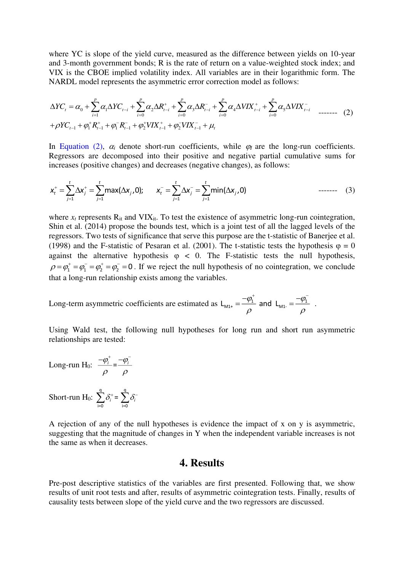where YC is slope of the yield curve, measured as the difference between yields on 10-year and 3-month government bonds; R is the rate of return on a value-weighted stock index; and VIX is the CBOE implied volatility index. All variables are in their logarithmic form. The NARDL model represents the asymmetric error correction model as follows:

$$
\Delta Y C_{t} = \alpha_{0} + \sum_{i=1}^{p} \alpha_{i} \Delta Y C_{t-i} + \sum_{i=0}^{p} \alpha_{i} \Delta R_{t-i}^{+} + \sum_{i=0}^{p} \alpha_{i} \Delta R_{t-i}^{-} + \sum_{i=0}^{p} \alpha_{i} \Delta V I X_{t-i}^{+} + \sum_{i=0}^{p} \alpha_{i} \Delta V I X_{t-i}^{-} \quad \text{where}
$$
\n
$$
+ \rho Y C_{t-1} + \phi_{1}^{+} R_{t-1}^{+} + \phi_{1}^{-} R_{t-1}^{-} + \phi_{2}^{+} V I X_{t-1}^{+} + \phi_{2}^{-} V I X_{t-1}^{-} + \mu_{t}
$$
\n
$$
(2)
$$

In Equation (2),  $\alpha_i$  denote short-run coefficients, while  $\varphi_i$  are the long-run coefficients. Regressors are decomposed into their positive and negative partial cumulative sums for increases (positive changes) and decreases (negative changes), as follows:

$$
x_t^+ = \sum_{j=1}^t \Delta x_j^+ = \sum_{j=1}^t \max(\Delta x_j, 0); \qquad x_t^- = \sum_{j=1}^t \Delta x_j^- = \sum_{j=1}^t \min(\Delta x_j, 0) \qquad \qquad \text{---} \qquad (3)
$$

where  $x_t$  represents  $R_{it}$  and  $VIX_{it}$ . To test the existence of asymmetric long-run cointegration, Shin et al. (2014) propose the bounds test, which is a joint test of all the lagged levels of the regressors. Two tests of significance that serve this purpose are the t-statistic of Banerjee et al. (1998) and the F-statistic of Pesaran et al. (2001). The t-statistic tests the hypothesis  $\varphi = 0$ against the alternative hypothesis  $\varphi$  < 0. The F-statistic tests the null hypothesis,  $\rho = \varphi_1^+ = \varphi_1^- = \varphi_2^+ = \varphi_2^- = 0$ . If we reject the null hypothesis of no cointegration, we conclude that a long-run relationship exists among the variables.

Long-term asymmetric coefficients are estimated as  $L_{M1+} = \frac{-\phi_1^+}{\rho}$  and  $L_{M1-} = \frac{-\phi_1^-}{\rho}$  $=\frac{-\phi_1^+}{2}$  and  $L_{M1} = \frac{-\phi_1^-}{2}$ .

Using Wald test, the following null hypotheses for long run and short run asymmetric relationships are tested:

Long-run H<sub>0</sub>:  $\frac{-\varphi_i^+}{\varphi_i} = \frac{-\varphi_i^-}{\varphi_i^-}$  $\rho$   $\rho$  $-\varphi_{i}^{+}$   $-\varphi_{i}^{-}$ Short-run  $H_0$ : <sup>q</sup> <sup>q</sup>  $\sum \delta_i^+ = \sum \delta_i^-$ 

i=0 i=0

A rejection of any of the null hypotheses is evidence the impact of x on y is asymmetric, suggesting that the magnitude of changes in Y when the independent variable increases is not the same as when it decreases.

#### **4. Results**

Pre-post descriptive statistics of the variables are first presented. Following that, we show results of unit root tests and after, results of asymmetric cointegration tests. Finally, results of causality tests between slope of the yield curve and the two regressors are discussed.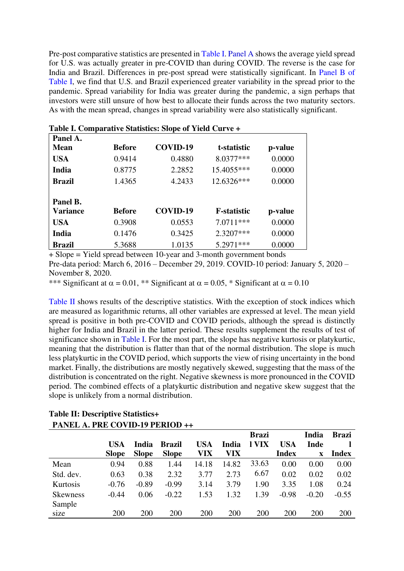Pre-post comparative statistics are presented in Table I. Panel A shows the average yield spread for U.S. was actually greater in pre-COVID than during COVID. The reverse is the case for India and Brazil. Differences in pre-post spread were statistically significant. In Panel B of Table I, we find that U.S. and Brazil experienced greater variability in the spread prior to the pandemic. Spread variability for India was greater during the pandemic, a sign perhaps that investors were still unsure of how best to allocate their funds across the two maturity sectors. As with the mean spread, changes in spread variability were also statistically significant.

| Panel A.        |               |          |                     |         |
|-----------------|---------------|----------|---------------------|---------|
| <b>Mean</b>     | <b>Before</b> | COVID-19 | t-statistic         | p-value |
| <b>USA</b>      | 0.9414        | 0.4880   | 8.0377***           | 0.0000  |
| India           | 0.8775        | 2.2852   | 15.4055***          | 0.0000  |
| Brazil          | 1.4365        | 4.2433   | 12.6326***          | 0.0000  |
| Panel B.        |               |          |                     |         |
| <b>Variance</b> | <b>Before</b> | COVID-19 | <b>F</b> -statistic | p-value |
| <b>USA</b>      | 0.3908        | 0.0553   | 7.0711***           | 0.0000  |
| India           | 0.1476        | 0.3425   | $2.3207***$         | 0.0000  |
| Brazil          | 5.3688        | 1.0135   | 5.2971***           | 0.0000  |

|  |  |  |  | Table I. Comparative Statistics: Slope of Yield Curve + |  |
|--|--|--|--|---------------------------------------------------------|--|
|--|--|--|--|---------------------------------------------------------|--|

+ Slope = Yield spread between 10-year and 3-month government bonds Pre-data period: March 6, 2016 – December 29, 2019. COVID-10 period: January 5, 2020 – November 8, 2020.

\*\*\* Significant at  $\alpha = 0.01$ , \*\* Significant at  $\alpha = 0.05$ , \* Significant at  $\alpha = 0.10$ 

Table II shows results of the descriptive statistics. With the exception of stock indices which are measured as logarithmic returns, all other variables are expressed at level. The mean yield spread is positive in both pre-COVID and COVID periods, although the spread is distinctly higher for India and Brazil in the latter period. These results supplement the results of test of significance shown in Table I. For the most part, the slope has negative kurtosis or platykurtic, meaning that the distribution is flatter than that of the normal distribution. The slope is much less platykurtic in the COVID period, which supports the view of rising uncertainty in the bond market. Finally, the distributions are mostly negatively skewed, suggesting that the mass of the distribution is concentrated on the right. Negative skewness is more pronounced in the COVID period. The combined effects of a platykurtic distribution and negative skew suggest that the slope is unlikely from a normal distribution.

|                 |              |              |               |       |       | <b>Brazi</b> |              | <b>India</b> | <b>Brazi</b> |
|-----------------|--------------|--------------|---------------|-------|-------|--------------|--------------|--------------|--------------|
|                 | <b>USA</b>   | India        | <b>Brazil</b> | USA   | India | l VIX        | <b>USA</b>   | Inde         |              |
|                 | <b>Slope</b> | <b>Slope</b> | <b>Slope</b>  | VIX   | VIX   |              | <b>Index</b> | $\mathbf X$  | <b>Index</b> |
| Mean            | 0.94         | 0.88         | 1.44          | 14.18 | 14.82 | 33.63        | 0.00         | 0.00         | 0.00         |
| Std. dev.       | 0.63         | 0.38         | 2.32          | 3.77  | 2.73  | 6.67         | 0.02         | 0.02         | 0.02         |
| Kurtosis        | $-0.76$      | $-0.89$      | $-0.99$       | 3.14  | 3.79  | 1.90         | 3.35         | 1.08         | 0.24         |
| <b>Skewness</b> | $-0.44$      | 0.06         | $-0.22$       | 1.53  | 1.32  | 1.39         | $-0.98$      | $-0.20$      | $-0.55$      |
| Sample          |              |              |               |       |       |              |              |              |              |
| size            | 200          | 200          | 200           | 200   | 200   | 200          | 200          | <b>200</b>   | 200          |

#### **Table II: Descriptive Statistics+ PANEL A. PRE COVID-19 PERIOD ++**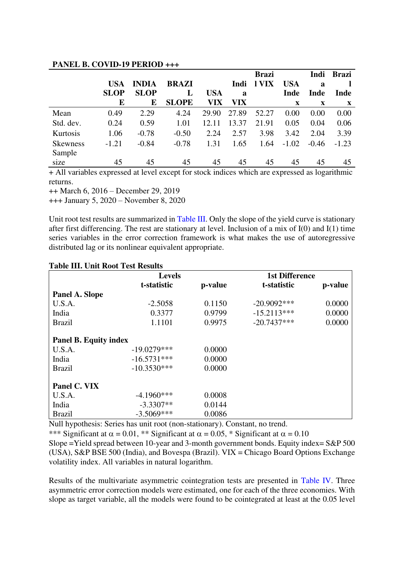|                 |             |              |              |            |       | <b>Brazi</b> |            | Indi    | <b>Brazi</b> |
|-----------------|-------------|--------------|--------------|------------|-------|--------------|------------|---------|--------------|
|                 | <b>USA</b>  | <b>INDIA</b> | <b>BRAZI</b> |            | Indi  | l VIX        | <b>USA</b> | a       |              |
|                 | <b>SLOP</b> | <b>SLOP</b>  | L            | <b>USA</b> | a     |              | Inde       | Inde    | Inde         |
|                 | E           | E            | <b>SLOPE</b> | VIX        | VIX   |              | X          | X       | $\mathbf X$  |
| Mean            | 0.49        | 2.29         | 4.24         | 29.90      | 27.89 | 52.27        | 0.00       | 0.00    | 0.00         |
| Std. dev.       | 0.24        | 0.59         | 1.01         | 12.11      | 13.37 | 21.91        | 0.05       | 0.04    | 0.06         |
| Kurtosis        | 1.06        | $-0.78$      | $-0.50$      | 2.24       | 2.57  | 3.98         | 3.42       | 2.04    | 3.39         |
| <b>Skewness</b> | $-1.21$     | $-0.84$      | $-0.78$      | 1.31       | 1.65  | 1.64         | $-1.02$    | $-0.46$ | $-1.23$      |
| Sample          |             |              |              |            |       |              |            |         |              |
| size            | 45          | 45           | 45           | 45         | 45    | 45           | 45         | 45      | 45           |

#### **PANEL B. COVID-19 PERIOD +++**

+ All variables expressed at level except for stock indices which are expressed as logarithmic returns.

++ March 6, 2016 – December 29, 2019

+++ January 5, 2020 – November 8, 2020

Unit root test results are summarized in Table III. Only the slope of the yield curve is stationary after first differencing. The rest are stationary at level. Inclusion of a mix of I(0) and I(1) time series variables in the error correction framework is what makes the use of autoregressive distributed lag or its nonlinear equivalent appropriate.

|                              | <b>Levels</b> |         | <b>1st Difference</b> |         |
|------------------------------|---------------|---------|-----------------------|---------|
|                              | t-statistic   | p-value | t-statistic           | p-value |
| Panel A. Slope               |               |         |                       |         |
| U.S.A.                       | $-2.5058$     | 0.1150  | $-20.9092***$         | 0.0000  |
| India                        | 0.3377        | 0.9799  | $-15.2113***$         | 0.0000  |
| <b>Brazil</b>                | 1.1101        | 0.9975  | $-20.7437***$         | 0.0000  |
|                              |               |         |                       |         |
| <b>Panel B. Equity index</b> |               |         |                       |         |
| U.S.A.                       | $-19.0279***$ | 0.0000  |                       |         |
| India                        | $-16.5731***$ | 0.0000  |                       |         |
| <b>Brazil</b>                | $-10.3530***$ | 0.0000  |                       |         |
|                              |               |         |                       |         |
| Panel C. VIX                 |               |         |                       |         |
| U.S.A.                       | $-4.1960***$  | 0.0008  |                       |         |
| India                        | $-3.3307**$   | 0.0144  |                       |         |
| <b>Brazil</b>                | $-3.5069***$  | 0.0086  |                       |         |

#### **Table III. Unit Root Test Results**

Null hypothesis: Series has unit root (non-stationary). Constant, no trend.

\*\*\* Significant at  $\alpha = 0.01$ , \*\* Significant at  $\alpha = 0.05$ , \* Significant at  $\alpha = 0.10$ 

Slope = Yield spread between 10-year and 3-month government bonds. Equity index=  $S\&P 500$ (USA), S&P BSE 500 (India), and Bovespa (Brazil). VIX = Chicago Board Options Exchange volatility index. All variables in natural logarithm.

Results of the multivariate asymmetric cointegration tests are presented in Table IV. Three asymmetric error correction models were estimated, one for each of the three economies. With slope as target variable, all the models were found to be cointegrated at least at the 0.05 level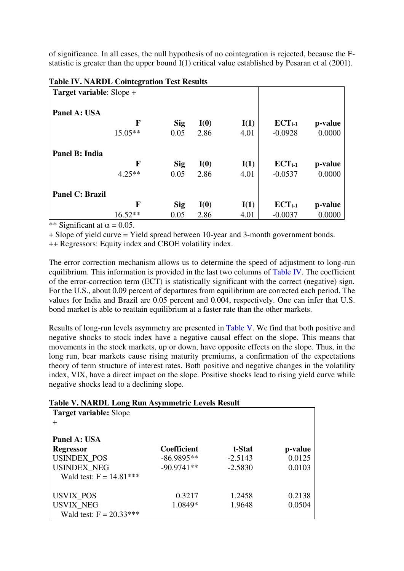of significance. In all cases, the null hypothesis of no cointegration is rejected, because the Fstatistic is greater than the upper bound I(1) critical value established by Pesaran et al (2001).

| Tuble I with the Conneglation Test Hebano<br>Target variable: Slope + |           |            |      |      |             |         |
|-----------------------------------------------------------------------|-----------|------------|------|------|-------------|---------|
| Panel A: USA                                                          |           |            |      |      |             |         |
|                                                                       | F         | <b>Sig</b> | I(0) | I(1) | $ECT_{t-1}$ | p-value |
|                                                                       | $15.05**$ | 0.05       | 2.86 | 4.01 | $-0.0928$   | 0.0000  |
| Panel B: India                                                        |           |            |      |      |             |         |
|                                                                       | F         | <b>Sig</b> | I(0) | I(1) | $ECT_{t-1}$ | p-value |
|                                                                       | $4.25**$  | 0.05       | 2.86 | 4.01 | $-0.0537$   | 0.0000  |
| <b>Panel C: Brazil</b>                                                |           |            |      |      |             |         |
|                                                                       | F         | <b>Sig</b> | I(0) | I(1) | $ECT_{t-1}$ | p-value |
|                                                                       | $16.52**$ | 0.05       | 2.86 | 4.01 | $-0.0037$   | 0.0000  |

#### **Table IV. NARDL Cointegration Test Results**

\*\* Significant at  $\alpha = 0.05$ .

+ Slope of yield curve = Yield spread between 10-year and 3-month government bonds. ++ Regressors: Equity index and CBOE volatility index.

The error correction mechanism allows us to determine the speed of adjustment to long-run equilibrium. This information is provided in the last two columns of Table IV. The coefficient of the error-correction term (ECT) is statistically significant with the correct (negative) sign. For the U.S., about 0.09 percent of departures from equilibrium are corrected each period. The values for India and Brazil are 0.05 percent and 0.004, respectively. One can infer that U.S. bond market is able to reattain equilibrium at a faster rate than the other markets.

Results of long-run levels asymmetry are presented in Table V. We find that both positive and negative shocks to stock index have a negative causal effect on the slope. This means that movements in the stock markets, up or down, have opposite effects on the slope. Thus, in the long run, bear markets cause rising maturity premiums, a confirmation of the expectations theory of term structure of interest rates. Both positive and negative changes in the volatility index, VIX, have a direct impact on the slope. Positive shocks lead to rising yield curve while negative shocks lead to a declining slope.

#### **Table V. NARDL Long Run Asymmetric Levels Result**

| <b>Target variable:</b> Slope |                    |           |         |
|-------------------------------|--------------------|-----------|---------|
| ┿                             |                    |           |         |
| Panel A: USA                  |                    |           |         |
| <b>Regressor</b>              | <b>Coefficient</b> | t-Stat    | p-value |
| <b>USINDEX POS</b>            | $-86.9895**$       | $-2.5143$ | 0.0125  |
| <b>USINDEX_NEG</b>            | $-90.9741**$       | $-2.5830$ | 0.0103  |
| Wald test: $F = 14.81***$     |                    |           |         |
|                               |                    |           |         |
| <b>USVIX_POS</b>              | 0.3217             | 1.2458    | 0.2138  |
| <b>USVIX_NEG</b>              | 1.0849*            | 1.9648    | 0.0504  |
| Wald test: $F = 20.33***$     |                    |           |         |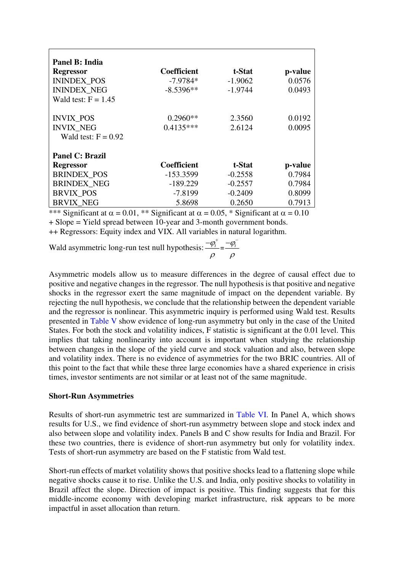| Panel B: India                        |                           |                                     |             |
|---------------------------------------|---------------------------|-------------------------------------|-------------|
| <b>Regressor</b>                      | <b>Coefficient</b>        | t-Stat                              | p-value     |
| <b>ININDEX POS</b>                    | $-7.9784*$                | $-1.9062$                           | 0.0576      |
| <b>ININDEX NEG</b>                    | $-8.5396**$               | $-1.9744$                           | 0.0493      |
| Wald test: $F = 1.45$                 |                           |                                     |             |
| <b>INVIX POS</b>                      | $0.2960**$                | 2.3560                              | 0.0192      |
| <b>INVIX NEG</b>                      | $0.4135***$               | 2.6124                              | 0.0095      |
| Wald test: $F = 0.92$                 |                           |                                     |             |
| <b>Panel C: Brazil</b>                |                           |                                     |             |
| <b>Regressor</b>                      | <b>Coefficient</b>        | t-Stat                              | p-value     |
| <b>BRINDEX POS</b>                    | $-153.3599$               | $-0.2558$                           | 0.7984      |
| <b>BRINDEX_NEG</b>                    | $-189.229$                | $-0.2557$                           | 0.7984      |
| <b>BRVIX POS</b>                      | $-7.8199$                 | $-0.2409$                           | 0.8099      |
| <b>BRVIX NEG</b>                      | 5.8698                    | 0.2650                              | 0.7913      |
| $\sim$<br>$\sim$ $\sim$ $\sim$ $\sim$ | ۰ ~<br>$0.01$ $Wb$ $0.01$ | $\cdot$ $\sim$<br>$\bigcap_{i=1}^n$ | $\Omega$ 10 |

\*\*\* Significant at  $\alpha = 0.01$ , \*\* Significant at  $\alpha = 0.05$ , \* Significant at  $\alpha = 0.10$ + Slope = Yield spread between 10-year and 3-month government bonds. ++ Regressors: Equity index and VIX. All variables in natural logarithm.

Wald asymmetric long-run test null hypothesis:  $\frac{-\phi_i^+}{\phi_i} = \frac{-\phi_i^-}{\phi_i^-}$  $\rho \rho$  $-\varphi_{i}^{+}$   $-\varphi_{i}^{-}$ 

Asymmetric models allow us to measure differences in the degree of causal effect due to positive and negative changes in the regressor. The null hypothesis is that positive and negative shocks in the regressor exert the same magnitude of impact on the dependent variable. By rejecting the null hypothesis, we conclude that the relationship between the dependent variable and the regressor is nonlinear. This asymmetric inquiry is performed using Wald test. Results presented in Table V show evidence of long-run asymmetry but only in the case of the United States. For both the stock and volatility indices, F statistic is significant at the 0.01 level. This implies that taking nonlinearity into account is important when studying the relationship between changes in the slope of the yield curve and stock valuation and also, between slope and volatility index. There is no evidence of asymmetries for the two BRIC countries. All of this point to the fact that while these three large economies have a shared experience in crisis times, investor sentiments are not similar or at least not of the same magnitude.

#### **Short-Run Asymmetries**

Results of short-run asymmetric test are summarized in Table VI. In Panel A, which shows results for U.S., we find evidence of short-run asymmetry between slope and stock index and also between slope and volatility index. Panels B and C show results for India and Brazil. For these two countries, there is evidence of short-run asymmetry but only for volatility index. Tests of short-run asymmetry are based on the F statistic from Wald test.

Short-run effects of market volatility shows that positive shocks lead to a flattening slope while negative shocks cause it to rise. Unlike the U.S. and India, only positive shocks to volatility in Brazil affect the slope. Direction of impact is positive. This finding suggests that for this middle-income economy with developing market infrastructure, risk appears to be more impactful in asset allocation than return.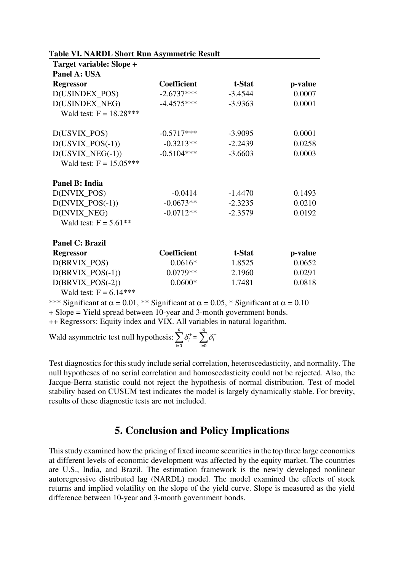| <b>Table VI. NARDL Short Run Asymmetric Result</b> |  |  |  |
|----------------------------------------------------|--|--|--|
|----------------------------------------------------|--|--|--|

| Target variable: Slope +          |                    |           |         |
|-----------------------------------|--------------------|-----------|---------|
| Panel A: USA                      |                    |           |         |
| <b>Regressor</b>                  | <b>Coefficient</b> | t-Stat    | p-value |
| D(USINDEX_POS)                    | $-2.6737***$       | $-3.4544$ | 0.0007  |
| D(USINDEX_NEG)                    | $-4.4575***$       | $-3.9363$ | 0.0001  |
| Wald test: $F = 18.28***$         |                    |           |         |
| D(USVIX_POS)                      | $-0.5717***$       | $-3.9095$ | 0.0001  |
| $D(USVIX_POS(-1))$                | $-0.3213**$        | $-2.2439$ | 0.0258  |
| $D(USVIX\_NEG(-1))$               | $-0.5104***$       | $-3.6603$ | 0.0003  |
| Wald test: $F = 15.05***$         |                    |           |         |
| Panel B: India                    |                    |           |         |
| D(INVIX_POS)                      | $-0.0414$          | $-1.4470$ | 0.1493  |
| $D(\text{INVIX}\_\text{POS}(-1))$ | $-0.0673**$        | $-2.3235$ | 0.0210  |
| D(INVIX_NEG)                      | $-0.0712**$        | $-2.3579$ | 0.0192  |
| Wald test: $F = 5.61***$          |                    |           |         |
| <b>Panel C: Brazil</b>            |                    |           |         |
| <b>Regressor</b>                  | Coefficient        | t-Stat    | p-value |
| D(BRVIX_POS)                      | $0.0616*$          | 1.8525    | 0.0652  |
| $D(BRVIX_POS(-1))$                | $0.0779**$         | 2.1960    | 0.0291  |
| $D(BRVIX_POS(-2))$                | $0.0600*$          | 1.7481    | 0.0818  |
| Wald test: $F = 6.14***$          |                    |           |         |

\*\*\* Significant at  $\alpha = 0.01$ , \*\* Significant at  $\alpha = 0.05$ , \* Significant at  $\alpha = 0.10$ + Slope = Yield spread between 10-year and 3-month government bonds.

++ Regressors: Equity index and VIX. All variables in natural logarithm.

Wald asymmetric test null hypothesis: <sup>q</sup> <sup>q</sup> i=0 i=0  $\sum \delta_i^+ = \sum \delta_i^-$ 

Test diagnostics for this study include serial correlation, heteroscedasticity, and normality. The null hypotheses of no serial correlation and homoscedasticity could not be rejected. Also, the Jacque-Berra statistic could not reject the hypothesis of normal distribution. Test of model stability based on CUSUM test indicates the model is largely dynamically stable. For brevity, results of these diagnostic tests are not included.

## **5. Conclusion and Policy Implications**

This study examined how the pricing of fixed income securities in the top three large economies at different levels of economic development was affected by the equity market. The countries are U.S., India, and Brazil. The estimation framework is the newly developed nonlinear autoregressive distributed lag (NARDL) model. The model examined the effects of stock returns and implied volatility on the slope of the yield curve. Slope is measured as the yield difference between 10-year and 3-month government bonds.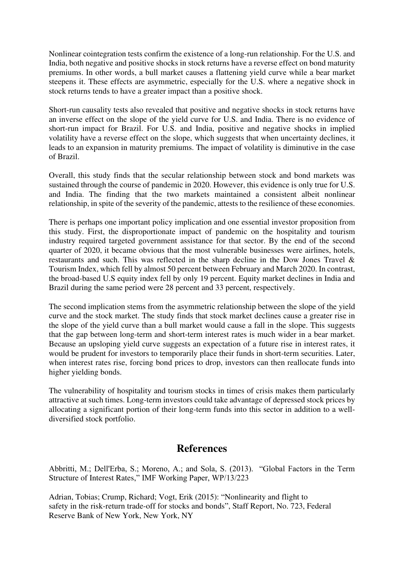Nonlinear cointegration tests confirm the existence of a long-run relationship. For the U.S. and India, both negative and positive shocks in stock returns have a reverse effect on bond maturity premiums. In other words, a bull market causes a flattening yield curve while a bear market steepens it. These effects are asymmetric, especially for the U.S. where a negative shock in stock returns tends to have a greater impact than a positive shock.

Short-run causality tests also revealed that positive and negative shocks in stock returns have an inverse effect on the slope of the yield curve for U.S. and India. There is no evidence of short-run impact for Brazil. For U.S. and India, positive and negative shocks in implied volatility have a reverse effect on the slope, which suggests that when uncertainty declines, it leads to an expansion in maturity premiums. The impact of volatility is diminutive in the case of Brazil.

Overall, this study finds that the secular relationship between stock and bond markets was sustained through the course of pandemic in 2020. However, this evidence is only true for U.S. and India. The finding that the two markets maintained a consistent albeit nonlinear relationship, in spite of the severity of the pandemic, attests to the resilience of these economies.

There is perhaps one important policy implication and one essential investor proposition from this study. First, the disproportionate impact of pandemic on the hospitality and tourism industry required targeted government assistance for that sector. By the end of the second quarter of 2020, it became obvious that the most vulnerable businesses were airlines, hotels, restaurants and such. This was reflected in the sharp decline in the Dow Jones Travel & Tourism Index, which fell by almost 50 percent between February and March 2020. In contrast, the broad-based U.S equity index fell by only 19 percent. Equity market declines in India and Brazil during the same period were 28 percent and 33 percent, respectively.

The second implication stems from the asymmetric relationship between the slope of the yield curve and the stock market. The study finds that stock market declines cause a greater rise in the slope of the yield curve than a bull market would cause a fall in the slope. This suggests that the gap between long-term and short-term interest rates is much wider in a bear market. Because an upsloping yield curve suggests an expectation of a future rise in interest rates, it would be prudent for investors to temporarily place their funds in short-term securities. Later, when interest rates rise, forcing bond prices to drop, investors can then reallocate funds into higher yielding bonds.

The vulnerability of hospitality and tourism stocks in times of crisis makes them particularly attractive at such times. Long-term investors could take advantage of depressed stock prices by allocating a significant portion of their long-term funds into this sector in addition to a welldiversified stock portfolio.

## **References**

Abbritti, M.; Dell'Erba, S.; Moreno, A.; and Sola, S. (2013). "Global Factors in the Term Structure of Interest Rates," IMF Working Paper, WP/13/223

Adrian, Tobias; Crump, Richard; Vogt, Erik (2015): "Nonlinearity and flight to safety in the risk-return trade-off for stocks and bonds", Staff Report, No. 723, Federal Reserve Bank of New York, New York, NY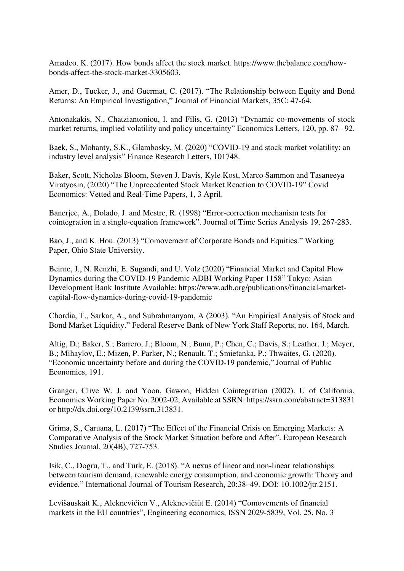Amadeo, K. (2017). How bonds affect the stock market. https://www.thebalance.com/howbonds-affect-the-stock-market-3305603.

Amer, D., Tucker, J., and Guermat, C. (2017). "The Relationship between Equity and Bond Returns: An Empirical Investigation," Journal of Financial Markets, 35C: 47-64.

Antonakakis, N., Chatziantoniou, I. and Filis, G. (2013) "Dynamic co-movements of stock market returns, implied volatility and policy uncertainty" Economics Letters, 120, pp. 87– 92.

Baek, S., Mohanty, S.K., Glambosky, M. (2020) "COVID-19 and stock market volatility: an industry level analysis" Finance Research Letters, 101748.

Baker, Scott, Nicholas Bloom, Steven J. Davis, Kyle Kost, Marco Sammon and Tasaneeya Viratyosin, (2020) "The Unprecedented Stock Market Reaction to COVID-19" Covid Economics: Vetted and Real-Time Papers, 1, 3 April.

Banerjee, A., Dolado, J. and Mestre, R. (1998) "Error-correction mechanism tests for cointegration in a single-equation framework". Journal of Time Series Analysis 19, 267-283.

Bao, J., and K. Hou. (2013) "Comovement of Corporate Bonds and Equities." Working Paper, Ohio State University.

Beirne, J., N. Renzhi, E. Sugandi, and U. Volz (2020) "Financial Market and Capital Flow Dynamics during the COVID-19 Pandemic ADBI Working Paper 1158" Tokyo: Asian Development Bank Institute Available: https://www.adb.org/publications/financial-marketcapital-flow-dynamics-during-covid-19-pandemic

Chordia, T., Sarkar, A., and Subrahmanyam, A (2003). "An Empirical Analysis of Stock and Bond Market Liquidity." Federal Reserve Bank of New York Staff Reports, no. 164, March.

Altig, D.; Baker, S.; Barrero, J.; Bloom, N.; Bunn, P.; Chen, C.; Davis, S.; Leather, J.; Meyer, B.; Mihaylov, E.; Mizen, P. Parker, N.; Renault, T.; Smietanka, P.; Thwaites, G. (2020). "Economic uncertainty before and during the COVID-19 pandemic," Journal of Public Economics, 191.

Granger, Clive W. J. and Yoon, Gawon, Hidden Cointegration (2002). U of California, Economics Working Paper No. 2002-02, Available at SSRN: https://ssrn.com/abstract=313831 or http://dx.doi.org/10.2139/ssrn.313831.

Grima, S., Caruana, L. (2017) "The Effect of the Financial Crisis on Emerging Markets: A Comparative Analysis of the Stock Market Situation before and After". European Research Studies Journal, 20(4B), 727-753.

Isik, C., Dogru, T., and Turk, E. (2018). "A nexus of linear and non‐linear relationships between tourism demand, renewable energy consumption, and economic growth: Theory and evidence." International Journal of Tourism Research, 20:38–49. DOI: 10.1002/jtr.2151.

Levišauskait K., Aleknevičien V., Aleknevičiūt E. (2014) "Comovements of financial markets in the EU countries", Engineering economics, ISSN 2029-5839, Vol. 25, No. 3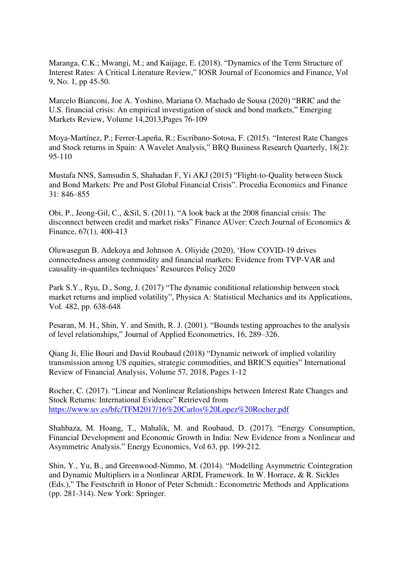Maranga, C.K.; Mwangi, M.; and Kaijage, E. (2018). "Dynamics of the Term Structure of Interest Rates: A Critical Literature Review," IOSR Journal of Economics and Finance, Vol 9, No. 1, pp 45-50.

Marcelo Bianconi, Joe A. Yoshino, Mariana O. Machado de Sousa (2020) "BRIC and the U.S. financial crisis: An empirical investigation of stock and bond markets," Emerging Markets Review, Volume 14,2013,Pages 76-109

Moya-Martínez, P.; Ferrer-Lapeña, R.; Escribano-Sotosa, F. (2015). "Interest Rate Changes and Stock returns in Spain: A Wavelet Analysis," BRQ Business Research Quarterly, 18(2): 95-110

Mustafa NNS, Samsudin S, Shahadan F, Yi AKJ (2015) "Flight-to-Quality between Stock and Bond Markets: Pre and Post Global Financial Crisis". Procedia Economics and Finance 31: 846–855

Obi, P., Jeong-Gil, C., &Sil, S. (2011). "A look back at the 2008 financial crisis: The disconnect between credit and market risks" Finance AUver: Czech Journal of Economics & Finance, 67(1), 400-413

Oluwasegun B. Adekoya and Johnson A. Oliyide (2020), 'How COVID-19 drives connectedness among commodity and financial markets: Evidence from TVP-VAR and causality-in-quantiles techniques' Resources Policy 2020

Park S.Y., Ryu, D., Song, J. (2017) "The dynamic conditional relationship between stock market returns and implied volatility", Physica A: Statistical Mechanics and its Applications, Vol. 482, pp. 638-648

Pesaran, M. H., Shin, Y. and Smith, R. J. (2001). "Bounds testing approaches to the analysis of level relationships," Journal of Applied Econometrics, 16, 289–326.

Qiang Ji, Elie Bouri and David Roubaud (2018) "Dynamic network of implied volatility transmission among US equities, strategic commodities, and BRICS equities" International Review of Financial Analysis, Volume 57, 2018, Pages 1-12

Rocher, C. (2017). "Linear and Nonlinear Relationships between Interest Rate Changes and Stock Returns: International Evidence" Retrieved from <https://www.uv.es/bfc/TFM2017/16%20Carlos%20Lopez%20Rocher.pdf>

Shahbaza, M. Hoang, T., Mahalik, M. and Roubaud, D. (2017). "Energy Consumption, Financial Development and Economic Growth in India: New Evidence from a Nonlinear and Asymmetric Analysis." Energy Economics, Vol 63, pp. 199-212.

Shin, Y., Yu, B., and Greenwood-Nimmo, M. (2014). "Modelling Asymmetric Cointegration and Dynamic Multipliers in a Nonlinear ARDL Framework. In W. Horrace, & R. Sickles (Eds.)," The Festschrift in Honor of Peter Schmidt.: Econometric Methods and Applications (pp. 281-314). New York: Springer.